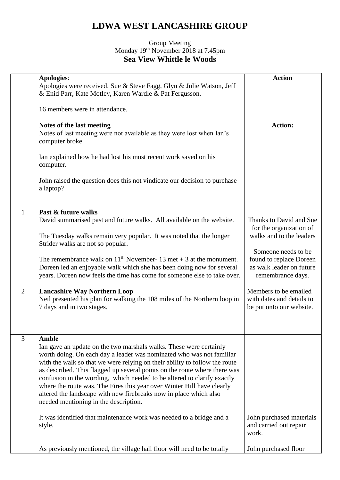## **LDWA WEST LANCASHIRE GROUP**

## Group Meeting Monday 19<sup>th</sup> November 2018 at 7.45pm **Sea View Whittle le Woods**

|                | <b>Apologies:</b><br>Apologies were received. Sue & Steve Fagg, Glyn & Julie Watson, Jeff<br>& Enid Parr, Kate Motley, Karen Wardle & Pat Fergusson.                                                                                                                                                                                                                                                                                                                                                                                                                                     | <b>Action</b>                                                                                   |
|----------------|------------------------------------------------------------------------------------------------------------------------------------------------------------------------------------------------------------------------------------------------------------------------------------------------------------------------------------------------------------------------------------------------------------------------------------------------------------------------------------------------------------------------------------------------------------------------------------------|-------------------------------------------------------------------------------------------------|
|                | 16 members were in attendance.                                                                                                                                                                                                                                                                                                                                                                                                                                                                                                                                                           |                                                                                                 |
|                | Notes of the last meeting<br>Notes of last meeting were not available as they were lost when Ian's<br>computer broke.                                                                                                                                                                                                                                                                                                                                                                                                                                                                    | <b>Action:</b>                                                                                  |
|                | Ian explained how he had lost his most recent work saved on his<br>computer.                                                                                                                                                                                                                                                                                                                                                                                                                                                                                                             |                                                                                                 |
|                | John raised the question does this not vindicate our decision to purchase<br>a laptop?                                                                                                                                                                                                                                                                                                                                                                                                                                                                                                   |                                                                                                 |
| 1              | Past & future walks<br>David summarised past and future walks. All available on the website.<br>The Tuesday walks remain very popular. It was noted that the longer<br>Strider walks are not so popular.                                                                                                                                                                                                                                                                                                                                                                                 | Thanks to David and Sue<br>for the organization of<br>walks and to the leaders                  |
|                | The remembrance walk on $11th$ November- 13 met + 3 at the monument.<br>Doreen led an enjoyable walk which she has been doing now for several<br>years. Doreen now feels the time has come for someone else to take over.                                                                                                                                                                                                                                                                                                                                                                | Someone needs to be<br>found to replace Doreen<br>as walk leader on future<br>remembrance days. |
| 2              | <b>Lancashire Way Northern Loop</b><br>Neil presented his plan for walking the 108 miles of the Northern loop in<br>7 days and in two stages.                                                                                                                                                                                                                                                                                                                                                                                                                                            | Members to be emailed<br>with dates and details to<br>be put onto our website.                  |
| $\overline{3}$ | <b>Amble</b><br>Ian gave an update on the two marshals walks. These were certainly<br>worth doing. On each day a leader was nominated who was not familiar<br>with the walk so that we were relying on their ability to follow the route<br>as described. This flagged up several points on the route where there was<br>confusion in the wording, which needed to be altered to clarify exactly<br>where the route was. The Fires this year over Winter Hill have clearly<br>altered the landscape with new firebreaks now in place which also<br>needed mentioning in the description. |                                                                                                 |
|                | It was identified that maintenance work was needed to a bridge and a<br>style.                                                                                                                                                                                                                                                                                                                                                                                                                                                                                                           | John purchased materials<br>and carried out repair<br>work.                                     |
|                | As previously mentioned, the village hall floor will need to be totally                                                                                                                                                                                                                                                                                                                                                                                                                                                                                                                  | John purchased floor                                                                            |